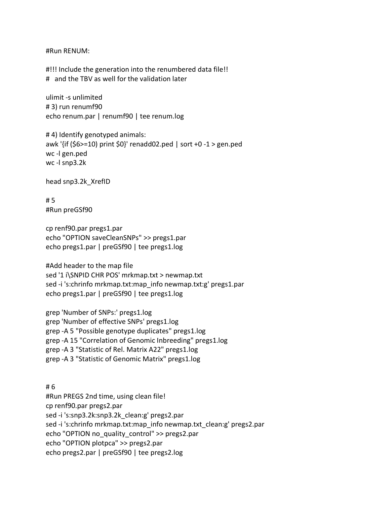#Run RENUM:

#!!! Include the generation into the renumbered data file!! # and the TBV as well for the validation later

ulimit -s unlimited # 3) run renumf90 echo renum.par | renumf90 | tee renum.log

# 4) Identify genotyped animals: awk '{if (\$6>=10) print \$0}' renadd02.ped | sort +0 -1 > gen.ped wc -l gen.ped wc -l snp3.2k

head snp3.2k\_XrefID

# 5 #Run preGSf90

cp renf90.par pregs1.par echo "OPTION saveCleanSNPs" >> pregs1.par echo pregs1.par | preGSf90 | tee pregs1.log

#Add header to the map file sed '1 i\SNPID CHR POS' mrkmap.txt > newmap.txt sed -i 's:chrinfo mrkmap.txt:map\_info newmap.txt:g' pregs1.par echo pregs1.par | preGSf90 | tee pregs1.log

grep 'Number of SNPs:' pregs1.log grep 'Number of effective SNPs' pregs1.log grep -A 5 "Possible genotype duplicates" pregs1.log grep -A 15 "Correlation of Genomic Inbreeding" pregs1.log grep -A 3 "Statistic of Rel. Matrix A22" pregs1.log grep -A 3 "Statistic of Genomic Matrix" pregs1.log

# 6 #Run PREGS 2nd time, using clean file! cp renf90.par pregs2.par sed -i 's:snp3.2k:snp3.2k\_clean:g' pregs2.par sed -i 's:chrinfo mrkmap.txt:map\_info newmap.txt\_clean:g' pregs2.par echo "OPTION no\_quality\_control" >> pregs2.par echo "OPTION plotpca" >> pregs2.par echo pregs2.par | preGSf90 | tee pregs2.log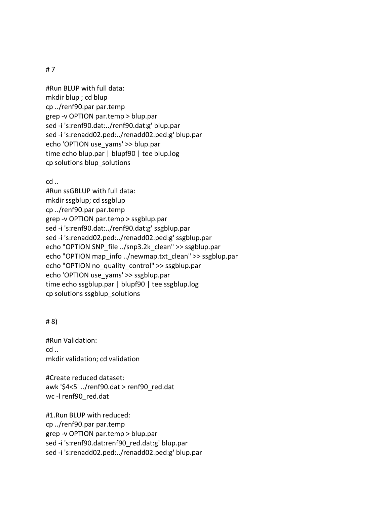# 7

#Run BLUP with full data: mkdir blup ; cd blup cp ../renf90.par par.temp grep -v OPTION par.temp > blup.par sed -i 's:renf90.dat:../renf90.dat:g' blup.par sed -i 's:renadd02.ped:../renadd02.ped:g' blup.par echo 'OPTION use\_yams' >> blup.par time echo blup.par | blupf90 | tee blup.log cp solutions blup\_solutions

cd ..

#Run ssGBLUP with full data: mkdir ssgblup; cd ssgblup cp ../renf90.par par.temp grep -v OPTION par.temp > ssgblup.par sed -i 's:renf90.dat:../renf90.dat:g' ssgblup.par sed -i 's:renadd02.ped:../renadd02.ped:g' ssgblup.par echo "OPTION SNP\_file ../snp3.2k\_clean" >> ssgblup.par echo "OPTION map\_info ../newmap.txt\_clean" >> ssgblup.par echo "OPTION no\_quality\_control" >> ssgblup.par echo 'OPTION use\_yams' >> ssgblup.par time echo ssgblup.par | blupf90 | tee ssgblup.log cp solutions ssgblup\_solutions

# 8)

#Run Validation: cd .. mkdir validation; cd validation

#Create reduced dataset: awk '\$4<5' ../renf90.dat > renf90\_red.dat wc -l renf90\_red.dat

#1.Run BLUP with reduced: cp ../renf90.par par.temp grep -v OPTION par.temp > blup.par sed -i 's:renf90.dat:renf90\_red.dat:g' blup.par sed -i 's:renadd02.ped:../renadd02.ped:g' blup.par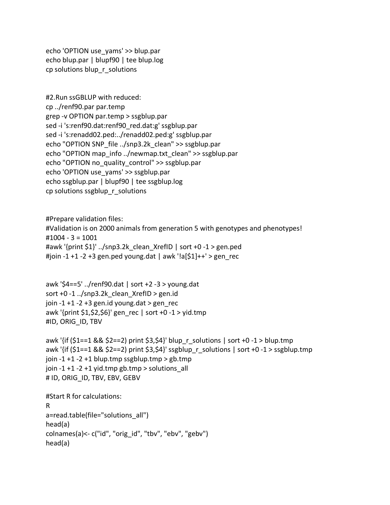echo 'OPTION use\_yams' >> blup.par echo blup.par | blupf90 | tee blup.log cp solutions blup\_r\_solutions

```
#2.Run ssGBLUP with reduced:
cp ../renf90.par par.temp
grep -v OPTION par.temp > ssgblup.par
sed -i 's:renf90.dat:renf90_red.dat:g' ssgblup.par
sed -i 's:renadd02.ped:../renadd02.ped:g' ssgblup.par
echo "OPTION SNP_file ../snp3.2k_clean" >> ssgblup.par
echo "OPTION map_info ../newmap.txt_clean" >> ssgblup.par
echo "OPTION no_quality_control" >> ssgblup.par
echo 'OPTION use_yams' >> ssgblup.par
echo ssgblup.par | blupf90 | tee ssgblup.log
cp solutions ssgblup r solutions
```
#Prepare validation files: #Validation is on 2000 animals from generation 5 with genotypes and phenotypes! #1004 - 3 = 1001 #awk '{print \$1}' ../snp3.2k clean XrefID | sort +0 -1 > gen.ped #join -1 +1 -2 +3 gen.ped young.dat | awk '!a[\$1]++' > gen\_rec

```
awk '$4==5' ../renf90.dat | sort +2 -3 > young.dat
sort +0 -1../snp3.2k clean XrefID > gen.id
join -1 + 1 - 2 + 3 gen.id young.dat > gen_rec
awk '{print $1,$2,$6}' gen rec | sort +0 -1 > yid.tmp
#ID, ORIG_ID, TBV
```

```
awk '{if ($1==1 && $2==2) print $3,$4}' blup_r_solutions | sort +0 -1 > blup.tmp
awk '{if ($1==1 && $2==2) print $3,$4}' ssgblup_r_solutions | sort +0 -1 > ssgblup.tmp
join -1 + 1 -2 +1 blup.tmp ssgblup.tmp > gb.tmp
join -1 + 1 -2 +1 yid.tmp gb.tmp > solutions all
# ID, ORIG ID, TBV, EBV, GEBV
```

```
#Start R for calculations:
R
a=read.table(file="solutions_all")
head(a)
colnames(a)<- c("id", "orig_id", "tbv", "ebv", "gebv")
head(a)
```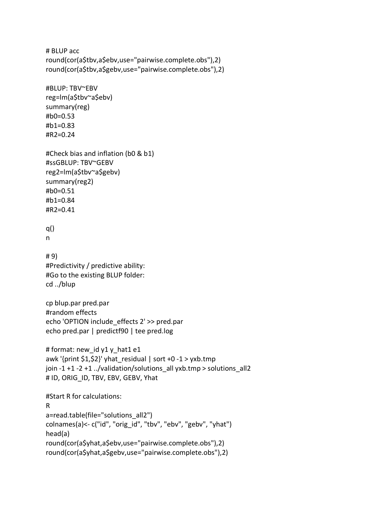```
# BLUP acc
round(cor(a$tbv,a$ebv,use="pairwise.complete.obs"),2)
round(cor(a$tbv,a$gebv,use="pairwise.complete.obs"),2)
#BLUP: TBV~EBV
reg=lm(a$tbv~a$ebv)
summary(reg)
#b0=0.53
#b1=0.83
#R2=0.24
#Check bias and inflation (b0 & b1)
#ssGBLUP: TBV~GEBV
reg2=lm(a$tbv~a$gebv)
summary(reg2)
#b0=0.51
#b1=0.84
#R2=0.41
q()
n
# 9)
#Predictivity / predictive ability:
#Go to the existing BLUP folder:
cd ../blup
cp blup.par pred.par
#random effects
echo 'OPTION include_effects 2' >> pred.par
echo pred.par | predictf90 | tee pred.log
# format: new_id y1 y_hat1 e1
awk '{print $1,$2}' yhat residual | sort +0 -1 > yxb.tmp
join -1 + 1 -2 +1../validation/solutions_all yxb.tmp > solutions_all2
# ID, ORIG ID, TBV, EBV, GEBV, Yhat
#Start R for calculations:
R
a=read.table(file="solutions_all2")
colnames(a)<- c("id", "orig_id", "tbv", "ebv", "gebv", "yhat")
head(a)
round(cor(a$yhat,a$ebv,use="pairwise.complete.obs"),2)
round(cor(a$yhat,a$gebv,use="pairwise.complete.obs"),2)
```